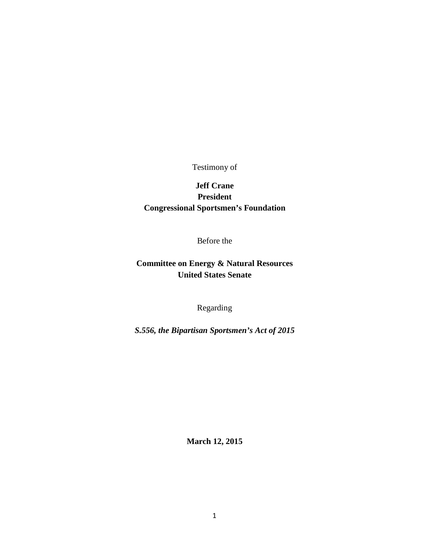Testimony of

# **Jeff Crane President Congressional Sportsmen's Foundation**

Before the

## **Committee on Energy & Natural Resources United States Senate**

Regarding

*S.556, the Bipartisan Sportsmen's Act of 2015*

**March 12, 2015**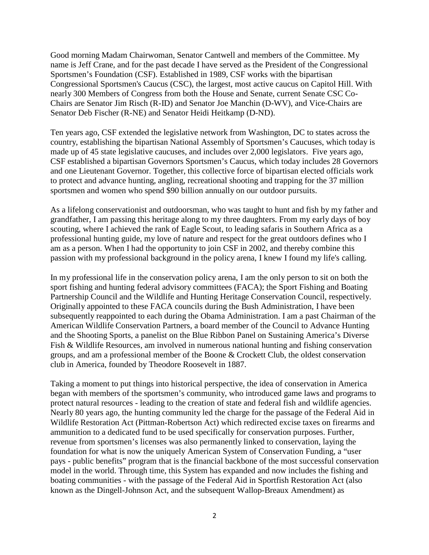Good morning Madam Chairwoman, Senator Cantwell and members of the Committee. My name is Jeff Crane, and for the past decade I have served as the President of the Congressional Sportsmen's Foundation (CSF). Established in 1989, CSF works with the bipartisan Congressional Sportsmen's Caucus (CSC), the largest, most active caucus on Capitol Hill. With nearly 300 Members of Congress from both the House and Senate, current Senate CSC Co-Chairs are Senator Jim Risch (R-ID) and Senator Joe Manchin (D-WV), and Vice-Chairs are Senator Deb Fischer (R-NE) and Senator Heidi Heitkamp (D-ND).

Ten years ago, CSF extended the legislative network from Washington, DC to states across the country, establishing the bipartisan National Assembly of Sportsmen's Caucuses, which today is made up of 45 state legislative caucuses, and includes over 2,000 legislators. Five years ago, CSF established a bipartisan Governors Sportsmen's Caucus, which today includes 28 Governors and one Lieutenant Governor. Together, this collective force of bipartisan elected officials work to protect and advance hunting, angling, recreational shooting and trapping for the 37 million sportsmen and women who spend \$90 billion annually on our outdoor pursuits.

As a lifelong conservationist and outdoorsman, who was taught to hunt and fish by my father and grandfather, I am passing this heritage along to my three daughters. From my early days of boy scouting, where I achieved the rank of Eagle Scout, to leading safaris in Southern Africa as a professional hunting guide, my love of nature and respect for the great outdoors defines who I am as a person. When I had the opportunity to join CSF in 2002, and thereby combine this passion with my professional background in the policy arena, I knew I found my life's calling.

In my professional life in the conservation policy arena, I am the only person to sit on both the sport fishing and hunting federal advisory committees (FACA); the Sport Fishing and Boating Partnership Council and the Wildlife and Hunting Heritage Conservation Council, respectively. Originally appointed to these FACA councils during the Bush Administration, I have been subsequently reappointed to each during the Obama Administration. I am a past Chairman of the American Wildlife Conservation Partners, a board member of the Council to Advance Hunting and the Shooting Sports, a panelist on the Blue Ribbon Panel on Sustaining America's Diverse Fish & Wildlife Resources, am involved in numerous national hunting and fishing conservation groups, and am a professional member of the Boone & Crockett Club, the oldest conservation club in America, founded by Theodore Roosevelt in 1887.

Taking a moment to put things into historical perspective, the idea of conservation in America began with members of the sportsmen's community, who introduced game laws and programs to protect natural resources - leading to the creation of state and federal fish and wildlife agencies. Nearly 80 years ago, the hunting community led the charge for the passage of the Federal Aid in Wildlife Restoration Act (Pittman-Robertson Act) which redirected excise taxes on firearms and ammunition to a dedicated fund to be used specifically for conservation purposes. Further, revenue from sportsmen's licenses was also permanently linked to conservation, laying the foundation for what is now the uniquely American System of Conservation Funding, a "user pays - public benefits" program that is the financial backbone of the most successful conservation model in the world. Through time, this System has expanded and now includes the fishing and boating communities - with the passage of the Federal Aid in Sportfish Restoration Act (also known as the Dingell-Johnson Act, and the subsequent Wallop-Breaux Amendment) as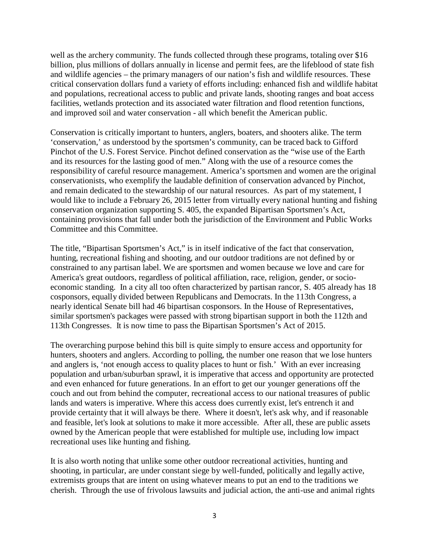well as the archery community. The funds collected through these programs, totaling over \$16 billion, plus millions of dollars annually in license and permit fees, are the lifeblood of state fish and wildlife agencies – the primary managers of our nation's fish and wildlife resources. These critical conservation dollars fund a variety of efforts including: enhanced fish and wildlife habitat and populations, recreational access to public and private lands, shooting ranges and boat access facilities, wetlands protection and its associated water filtration and flood retention functions, and improved soil and water conservation - all which benefit the American public.

Conservation is critically important to hunters, anglers, boaters, and shooters alike. The term 'conservation,' as understood by the sportsmen's community, can be traced back to Gifford Pinchot of the U.S. Forest Service. Pinchot defined conservation as the "wise use of the Earth and its resources for the lasting good of men." Along with the use of a resource comes the responsibility of careful resource management. America's sportsmen and women are the original conservationists, who exemplify the laudable definition of conservation advanced by Pinchot, and remain dedicated to the stewardship of our natural resources. As part of my statement, I would like to include a February 26, 2015 letter from virtually every national hunting and fishing conservation organization supporting S. 405, the expanded Bipartisan Sportsmen's Act, containing provisions that fall under both the jurisdiction of the Environment and Public Works Committee and this Committee.

The title, "Bipartisan Sportsmen's Act," is in itself indicative of the fact that conservation, hunting, recreational fishing and shooting, and our outdoor traditions are not defined by or constrained to any partisan label. We are sportsmen and women because we love and care for America's great outdoors, regardless of political affiliation, race, religion, gender, or socioeconomic standing. In a city all too often characterized by partisan rancor, S. 405 already has 18 cosponsors, equally divided between Republicans and Democrats. In the 113th Congress, a nearly identical Senate bill had 46 bipartisan cosponsors. In the House of Representatives, similar sportsmen's packages were passed with strong bipartisan support in both the 112th and 113th Congresses. It is now time to pass the Bipartisan Sportsmen's Act of 2015.

The overarching purpose behind this bill is quite simply to ensure access and opportunity for hunters, shooters and anglers. According to polling, the number one reason that we lose hunters and anglers is, 'not enough access to quality places to hunt or fish.' With an ever increasing population and urban/suburban sprawl, it is imperative that access and opportunity are protected and even enhanced for future generations. In an effort to get our younger generations off the couch and out from behind the computer, recreational access to our national treasures of public lands and waters is imperative. Where this access does currently exist, let's entrench it and provide certainty that it will always be there. Where it doesn't, let's ask why, and if reasonable and feasible, let's look at solutions to make it more accessible. After all, these are public assets owned by the American people that were established for multiple use, including low impact recreational uses like hunting and fishing.

It is also worth noting that unlike some other outdoor recreational activities, hunting and shooting, in particular, are under constant siege by well-funded, politically and legally active, extremists groups that are intent on using whatever means to put an end to the traditions we cherish. Through the use of frivolous lawsuits and judicial action, the anti-use and animal rights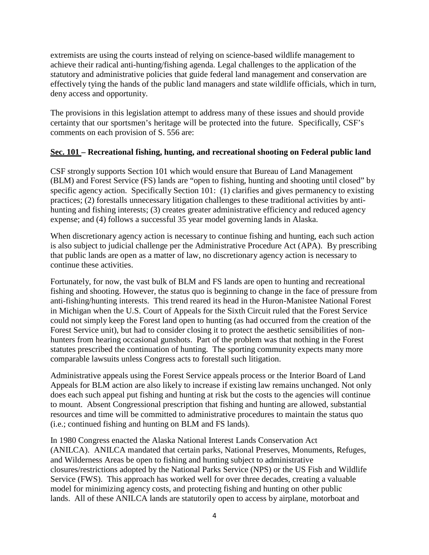extremists are using the courts instead of relying on science-based wildlife management to achieve their radical anti-hunting/fishing agenda. Legal challenges to the application of the statutory and administrative policies that guide federal land management and conservation are effectively tying the hands of the public land managers and state wildlife officials, which in turn, deny access and opportunity.

The provisions in this legislation attempt to address many of these issues and should provide certainty that our sportsmen's heritage will be protected into the future. Specifically, CSF's comments on each provision of S. 556 are:

## **Sec. 101 – Recreational fishing, hunting, and recreational shooting on Federal public land**

CSF strongly supports Section 101 which would ensure that Bureau of Land Management (BLM) and Forest Service (FS) lands are "open to fishing, hunting and shooting until closed" by specific agency action. Specifically Section 101: (1) clarifies and gives permanency to existing practices; (2) forestalls unnecessary litigation challenges to these traditional activities by antihunting and fishing interests; (3) creates greater administrative efficiency and reduced agency expense; and (4) follows a successful 35 year model governing lands in Alaska.

When discretionary agency action is necessary to continue fishing and hunting, each such action is also subject to judicial challenge per the Administrative Procedure Act (APA). By prescribing that public lands are open as a matter of law, no discretionary agency action is necessary to continue these activities.

Fortunately, for now, the vast bulk of BLM and FS lands are open to hunting and recreational fishing and shooting. However, the status quo is beginning to change in the face of pressure from anti-fishing/hunting interests. This trend reared its head in the Huron-Manistee National Forest in Michigan when the U.S. Court of Appeals for the Sixth Circuit ruled that the Forest Service could not simply keep the Forest land open to hunting (as had occurred from the creation of the Forest Service unit), but had to consider closing it to protect the aesthetic sensibilities of nonhunters from hearing occasional gunshots. Part of the problem was that nothing in the Forest statutes prescribed the continuation of hunting. The sporting community expects many more comparable lawsuits unless Congress acts to forestall such litigation.

Administrative appeals using the Forest Service appeals process or the Interior Board of Land Appeals for BLM action are also likely to increase if existing law remains unchanged. Not only does each such appeal put fishing and hunting at risk but the costs to the agencies will continue to mount. Absent Congressional prescription that fishing and hunting are allowed, substantial resources and time will be committed to administrative procedures to maintain the status quo (i.e.; continued fishing and hunting on BLM and FS lands).

In 1980 Congress enacted the Alaska National Interest Lands Conservation Act (ANILCA). ANILCA mandated that certain parks, National Preserves, Monuments, Refuges, and Wilderness Areas be open to fishing and hunting subject to administrative closures/restrictions adopted by the National Parks Service (NPS) or the US Fish and Wildlife Service (FWS). This approach has worked well for over three decades, creating a valuable model for minimizing agency costs, and protecting fishing and hunting on other public lands. All of these ANILCA lands are statutorily open to access by airplane, motorboat and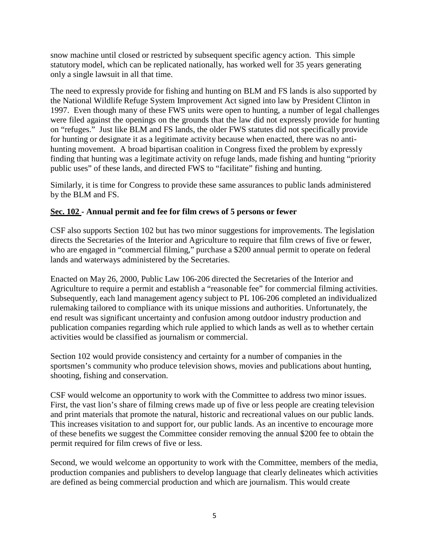snow machine until closed or restricted by subsequent specific agency action. This simple statutory model, which can be replicated nationally, has worked well for 35 years generating only a single lawsuit in all that time.

The need to expressly provide for fishing and hunting on BLM and FS lands is also supported by the National Wildlife Refuge System Improvement Act signed into law by President Clinton in 1997. Even though many of these FWS units were open to hunting, a number of legal challenges were filed against the openings on the grounds that the law did not expressly provide for hunting on "refuges." Just like BLM and FS lands, the older FWS statutes did not specifically provide for hunting or designate it as a legitimate activity because when enacted, there was no antihunting movement. A broad bipartisan coalition in Congress fixed the problem by expressly finding that hunting was a legitimate activity on refuge lands, made fishing and hunting "priority public uses" of these lands, and directed FWS to "facilitate" fishing and hunting.

Similarly, it is time for Congress to provide these same assurances to public lands administered by the BLM and FS.

## **Sec. 102 - Annual permit and fee for film crews of 5 persons or fewer**

CSF also supports Section 102 but has two minor suggestions for improvements. The legislation directs the Secretaries of the Interior and Agriculture to require that film crews of five or fewer, who are engaged in "commercial filming," purchase a \$200 annual permit to operate on federal lands and waterways administered by the Secretaries.

Enacted on May 26, 2000, Public Law 106-206 directed the Secretaries of the Interior and Agriculture to require a permit and establish a "reasonable fee" for commercial filming activities. Subsequently, each land management agency subject to PL 106-206 completed an individualized rulemaking tailored to compliance with its unique missions and authorities. Unfortunately, the end result was significant uncertainty and confusion among outdoor industry production and publication companies regarding which rule applied to which lands as well as to whether certain activities would be classified as journalism or commercial.

Section 102 would provide consistency and certainty for a number of companies in the sportsmen's community who produce television shows, movies and publications about hunting, shooting, fishing and conservation.

CSF would welcome an opportunity to work with the Committee to address two minor issues. First, the vast lion's share of filming crews made up of five or less people are creating television and print materials that promote the natural, historic and recreational values on our public lands. This increases visitation to and support for, our public lands. As an incentive to encourage more of these benefits we suggest the Committee consider removing the annual \$200 fee to obtain the permit required for film crews of five or less.

Second, we would welcome an opportunity to work with the Committee, members of the media, production companies and publishers to develop language that clearly delineates which activities are defined as being commercial production and which are journalism. This would create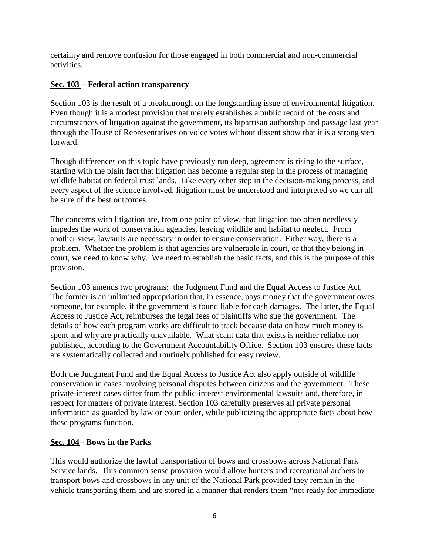certainty and remove confusion for those engaged in both commercial and non-commercial activities.

## **Sec. 103 – Federal action transparency**

Section 103 is the result of a breakthrough on the longstanding issue of environmental litigation. Even though it is a modest provision that merely establishes a public record of the costs and circumstances of litigation against the government, its bipartisan authorship and passage last year through the House of Representatives on voice votes without dissent show that it is a strong step forward.

Though differences on this topic have previously run deep, agreement is rising to the surface, starting with the plain fact that litigation has become a regular step in the process of managing wildlife habitat on federal trust lands. Like every other step in the decision-making process, and every aspect of the science involved, litigation must be understood and interpreted so we can all be sure of the best outcomes.

The concerns with litigation are, from one point of view, that litigation too often needlessly impedes the work of conservation agencies, leaving wildlife and habitat to neglect. From another view, lawsuits are necessary in order to ensure conservation. Either way, there is a problem. Whether the problem is that agencies are vulnerable in court, or that they belong in court, we need to know why. We need to establish the basic facts, and this is the purpose of this provision.

Section 103 amends two programs: the Judgment Fund and the Equal Access to Justice Act. The former is an unlimited appropriation that, in essence, pays money that the government owes someone, for example, if the government is found liable for cash damages. The latter, the Equal Access to Justice Act, reimburses the legal fees of plaintiffs who sue the government. The details of how each program works are difficult to track because data on how much money is spent and why are practically unavailable. What scant data that exists is neither reliable nor published, according to the Government Accountability Office. Section 103 ensures these facts are systematically collected and routinely published for easy review.

Both the Judgment Fund and the Equal Access to Justice Act also apply outside of wildlife conservation in cases involving personal disputes between citizens and the government. These private-interest cases differ from the public-interest environmental lawsuits and, therefore, in respect for matters of private interest, Section 103 carefully preserves all private personal information as guarded by law or court order, while publicizing the appropriate facts about how these programs function.

## **Sec. 104** - **Bows in the Parks**

This would authorize the lawful transportation of bows and crossbows across National Park Service lands. This common sense provision would allow hunters and recreational archers to transport bows and crossbows in any unit of the National Park provided they remain in the vehicle transporting them and are stored in a manner that renders them "not ready for immediate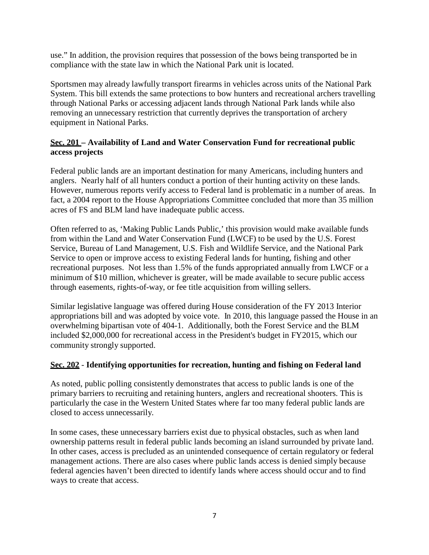use." In addition, the provision requires that possession of the bows being transported be in compliance with the state law in which the National Park unit is located.

Sportsmen may already lawfully transport firearms in vehicles across units of the National Park System. This bill extends the same protections to bow hunters and recreational archers travelling through National Parks or accessing adjacent lands through National Park lands while also removing an unnecessary restriction that currently deprives the transportation of archery equipment in National Parks.

## **Sec. 201 – Availability of Land and Water Conservation Fund for recreational public access projects**

Federal public lands are an important destination for many Americans, including hunters and anglers. Nearly half of all hunters conduct a portion of their hunting activity on these lands. However, numerous reports verify access to Federal land is problematic in a number of areas. In fact, a 2004 report to the House Appropriations Committee concluded that more than 35 million acres of FS and BLM land have inadequate public access.

Often referred to as, 'Making Public Lands Public,' this provision would make available funds from within the Land and Water Conservation Fund (LWCF) to be used by the U.S. Forest Service, Bureau of Land Management, U.S. Fish and Wildlife Service, and the National Park Service to open or improve access to existing Federal lands for hunting, fishing and other recreational purposes. Not less than 1.5% of the funds appropriated annually from LWCF or a minimum of \$10 million, whichever is greater, will be made available to secure public access through easements, rights-of-way, or fee title acquisition from willing sellers.

Similar legislative language was offered during House consideration of the FY 2013 Interior appropriations bill and was adopted by voice vote. In 2010, this language passed the House in an overwhelming bipartisan vote of 404-1. Additionally, both the Forest Service and the BLM included \$2,000,000 for recreational access in the President's budget in FY2015, which our community strongly supported.

## **Sec. 202** - **Identifying opportunities for recreation, hunting and fishing on Federal land**

As noted, public polling consistently demonstrates that access to public lands is one of the primary barriers to recruiting and retaining hunters, anglers and recreational shooters. This is particularly the case in the Western United States where far too many federal public lands are closed to access unnecessarily.

In some cases, these unnecessary barriers exist due to physical obstacles, such as when land ownership patterns result in federal public lands becoming an island surrounded by private land. In other cases, access is precluded as an unintended consequence of certain regulatory or federal management actions. There are also cases where public lands access is denied simply because federal agencies haven't been directed to identify lands where access should occur and to find ways to create that access.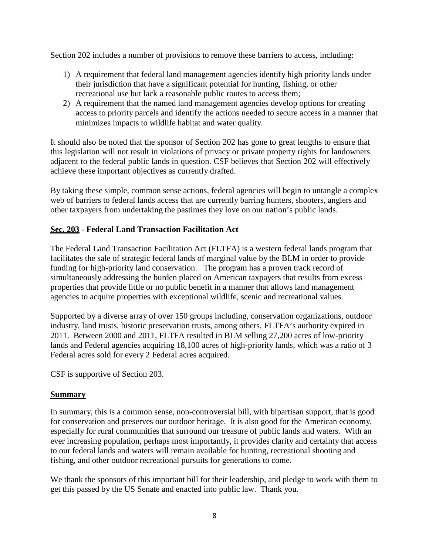Section 202 includes a number of provisions to remove these barriers to access, including:

- 1) A requirement that federal land management agencies identify high priority lands under their jurisdiction that have a significant potential for hunting, fishing, or other recreational use but lack a reasonable public routes to access them;
- 2) A requirement that the named land management agencies develop options for creating access to priority parcels and identify the actions needed to secure access in a manner that minimizes impacts to wildlife habitat and water quality.

It should also be noted that the sponsor of Section 202 has gone to great lengths to ensure that this legislation will not result in violations of privacy or private property rights for landowners adjacent to the federal public lands in question. CSF believes that Section 202 will effectively achieve these important objectives as currently drafted.

By taking these simple, common sense actions, federal agencies will begin to untangle a complex web of barriers to federal lands access that are currently barring hunters, shooters, anglers and other taxpayers from undertaking the pastimes they love on our nation's public lands.

## **Sec. 203** - **Federal Land Transaction Facilitation Act**

The Federal Land Transaction Facilitation Act (FLTFA) is a western federal lands program that facilitates the sale of strategic federal lands of marginal value by the BLM in order to provide funding for high-priority land conservation. The program has a proven track record of simultaneously addressing the burden placed on American taxpayers that results from excess properties that provide little or no public benefit in a manner that allows land management agencies to acquire properties with exceptional wildlife, scenic and recreational values.

Supported by a diverse array of over 150 groups including, conservation organizations, outdoor industry, land trusts, historic preservation trusts, among others, FLTFA's authority expired in 2011. Between 2000 and 2011, FLTFA resulted in BLM selling 27,200 acres of low-priority lands and Federal agencies acquiring 18,100 acres of high-priority lands, which was a ratio of 3 Federal acres sold for every 2 Federal acres acquired.

CSF is supportive of Section 203.

## **Summary**

In summary, this is a common sense, non-controversial bill, with bipartisan support, that is good for conservation and preserves our outdoor heritage. It is also good for the American economy, especially for rural communities that surround our treasure of public lands and waters. With an ever increasing population, perhaps most importantly, it provides clarity and certainty that access to our federal lands and waters will remain available for hunting, recreational shooting and fishing, and other outdoor recreational pursuits for generations to come.

We thank the sponsors of this important bill for their leadership, and pledge to work with them to get this passed by the US Senate and enacted into public law. Thank you.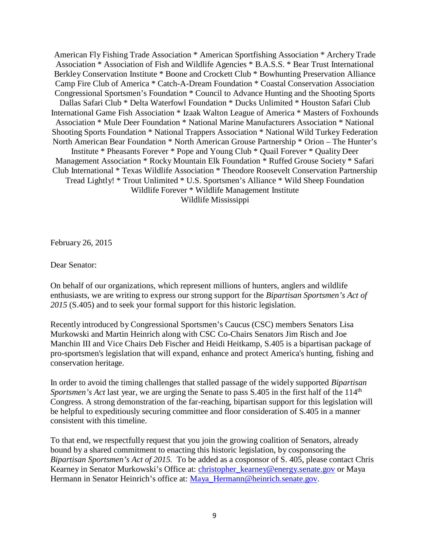American Fly Fishing Trade Association \* American Sportfishing Association \* Archery Trade Association \* Association of Fish and Wildlife Agencies \* B.A.S.S. \* Bear Trust International Berkley Conservation Institute \* Boone and Crockett Club \* Bowhunting Preservation Alliance Camp Fire Club of America \* Catch-A-Dream Foundation \* Coastal Conservation Association Congressional Sportsmen's Foundation \* Council to Advance Hunting and the Shooting Sports Dallas Safari Club \* Delta Waterfowl Foundation \* Ducks Unlimited \* Houston Safari Club International Game Fish Association \* Izaak Walton League of America \* Masters of Foxhounds Association \* Mule Deer Foundation \* National Marine Manufacturers Association \* National Shooting Sports Foundation \* National Trappers Association \* National Wild Turkey Federation North American Bear Foundation \* North American Grouse Partnership \* Orion – The Hunter's Institute \* Pheasants Forever \* Pope and Young Club \* Quail Forever \* Quality Deer Management Association \* Rocky Mountain Elk Foundation \* Ruffed Grouse Society \* Safari Club International \* Texas Wildlife Association \* Theodore Roosevelt Conservation Partnership Tread Lightly! \* Trout Unlimited \* U.S. Sportsmen's Alliance \* Wild Sheep Foundation Wildlife Forever \* Wildlife Management Institute Wildlife Mississippi

February 26, 2015

Dear Senator:

On behalf of our organizations, which represent millions of hunters, anglers and wildlife enthusiasts, we are writing to express our strong support for the *Bipartisan Sportsmen's Act of 2015* (S.405) and to seek your formal support for this historic legislation.

Recently introduced by Congressional Sportsmen's Caucus (CSC) members Senators Lisa Murkowski and Martin Heinrich along with CSC Co-Chairs Senators Jim Risch and Joe Manchin III and Vice Chairs Deb Fischer and Heidi Heitkamp, S.405 is a bipartisan package of pro-sportsmen's legislation that will expand, enhance and protect America's hunting, fishing and conservation heritage.

In order to avoid the timing challenges that stalled passage of the widely supported *Bipartisan Sportsmen's Act* last year, we are urging the Senate to pass S.405 in the first half of the 114<sup>th</sup> Congress. A strong demonstration of the far-reaching, bipartisan support for this legislation will be helpful to expeditiously securing committee and floor consideration of S.405 in a manner consistent with this timeline.

To that end, we respectfully request that you join the growing coalition of Senators, already bound by a shared commitment to enacting this historic legislation, by cosponsoring the *Bipartisan Sportsmen's Act of 2015.* To be added as a cosponsor of S. 405, please contact Chris Kearney in Senator Murkowski's Office at: [christopher\\_kearney@energy.senate.gov](mailto:christopher_kearney@energy.senate.gov) or Maya Hermann in Senator Heinrich's office at: [Maya\\_Hermann@heinrich.senate.gov.](mailto:Maya_Hermann@heinrich.senate.gov)